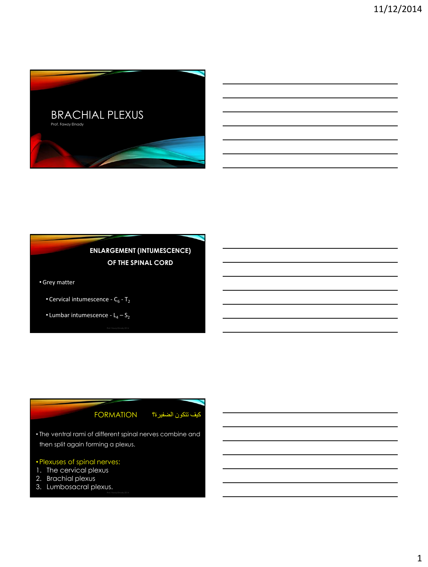

# **ENLARGEMENT (INTUMESCENCE) OF THE SPINAL CORD**

•Grey matter

- Cervical intumescence  $C_6$   $T_2$
- Lumbar intumescence  $L_4 S_2$

## كيف تتكون الضفيرة؟ FORMATION

• The ventral rami of different spinal nerves combine and then split again forming a plexus.

## •Plexuses of spinal nerves:

- 1. The cervical plexus
- 2. Brachial plexus
- 3. Lumbosacral plexus.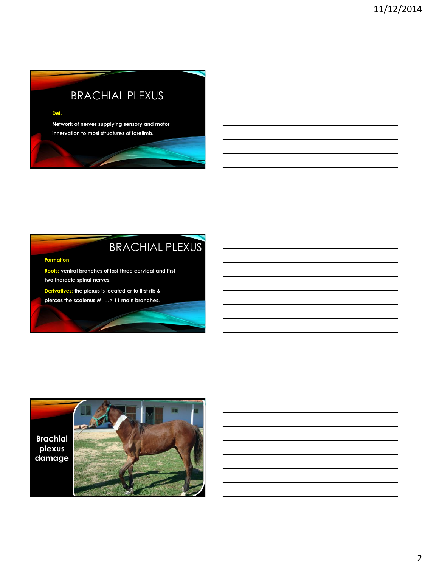# BRACHIAL PLEXUS

### **Def.**

**Network of nerves supplying sensory and motor innervation to most structures of forelimb.** 

# BRACHIAL PLEXUS

### **Formation**

**Roots: ventral branches of last three cervical and first two thoracic spinal nerves.**

**Derivatives: the plexus is located cr to first rib &** 

**pierces the scalenus M. …> 11 main branches.**

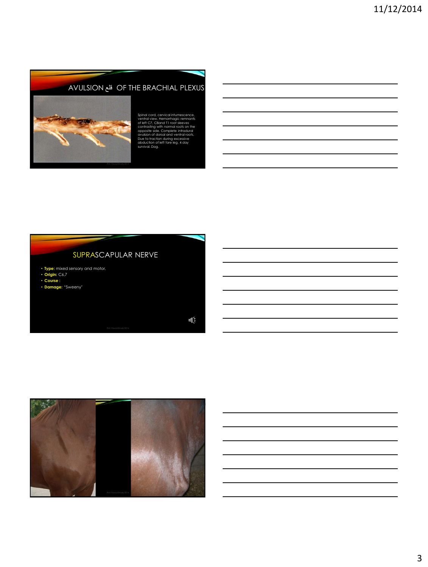# AVULSION قلع OF THE BRACHIAL PLEXUS



Spinal cord, cervical intumescence, ventral view. Hemorrhagic remnants of left C7, C8and T1 root sleeves contrasting with normal roots on the opposite side. Complete intradural avulsion of dorsal and ventral roots, Due to traction during excessive abduction of left fore leg. 4 day survival. Dog.

# SUPRASCAPULAR NERVE • **Type:** mixed sensory and motor. • **Origin:** C6,7 • **Course :** • **Damage:** "Sweeny"  $\mathbf{u}_i$

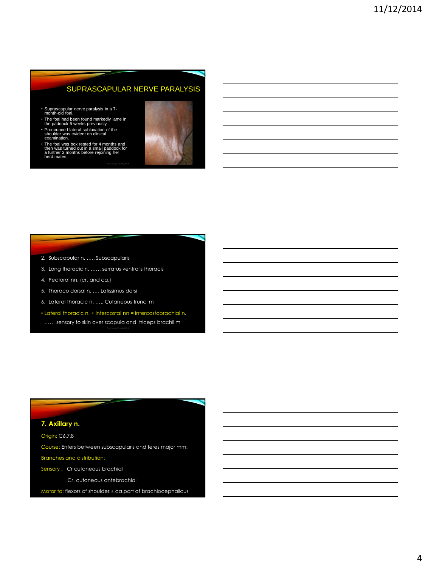## SUPRASCAPULAR NERVE PARALYSIS

- Suprascapular nerve paralysis in a 7- month-old foal.
- The foal had been found markedly lame in the paddock 6 weeks previously. Pronounced lateral subluxation of the shoulder was evident on clinical
- examination.
- The foal was box rested for 4 months and then was turned out in a small paddock for a further 2 months before rejoining her herd mates.



- 2. Subscapular n. ….. Subscapularis
- 3. Long thoracic n. …… serratus ventralis thoracis
- 4. Pectoral nn. (cr. and ca.)
- 5. Thoraco dorsal n. …. Latissimus dorsi
- 6. Lateral thoracic n. ….. Cutaneous trunci m
- Lateral thoracic n. + intercostal nn = intercostobrachial n. …… sensory to skin over scapula and triceps brachii m

## **7. Axillary n.**

Origin: C6,7,8

Course: Enters between subscapularis and teres major mm.

### Branches and distribution:

Sensory : Cr cutaneous brachial

Cr. cutaneous antebrachial

Motor to: flexors of shoulder + ca part of brachiocephalicus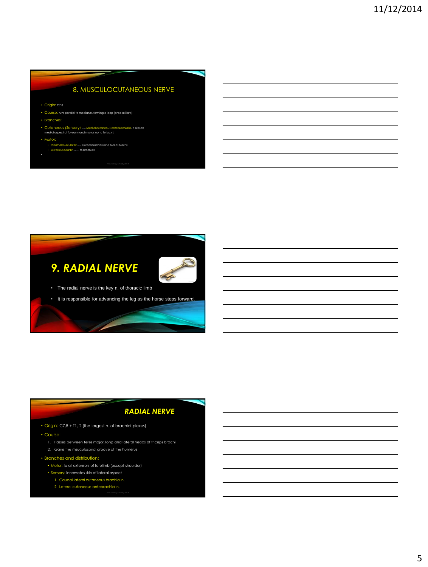## 8. MUSCULOCUTANEOUS NERVE

• Origin: C7,8

- Course: runs parallel to median n. forming a loop (ansa axillaris)
- Branches:
- Cutaneous (Sensory) …. Medial cutaneous antebrachial n. > skin on medial aspect of forearm and manus up to fetlock j.
- 
- Motor:

•

- Proximal muscular br ….. Coracobrachialis and biceps brachii Distal muscular br. …… to brachialis
- -



## *RADIAL NERVE*

- Origin: C7,8 + T1, 2 (the largest n. of brachial plexus)
- Course:
	- 1. Passes between teres major, long and lateral heads of triceps brachii
	- 2. Gains the msuculospiral groove of the humerus
- Branches and distribution:
	- Motor: to all extensors of forelimb (except shoulder)
	- Sensory: innervates skin of lateral aspect
		- 1. Caudal lateral cutaneous brachial n.
		- 2. Lateral cutaneous antebrachial n.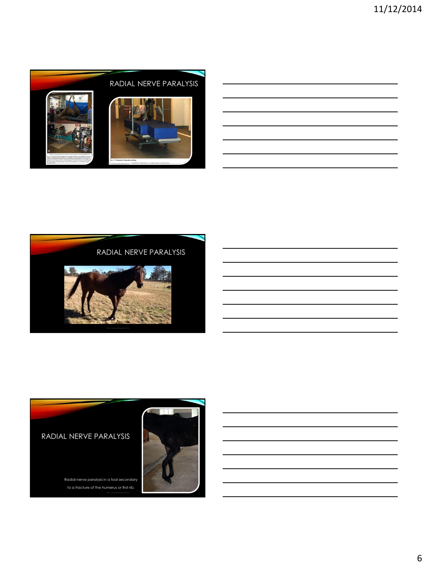



## RADIAL NERVE PARALYSIS

Radial nerve paralysis in a foal secondary to a fracture of the humerus or first rib.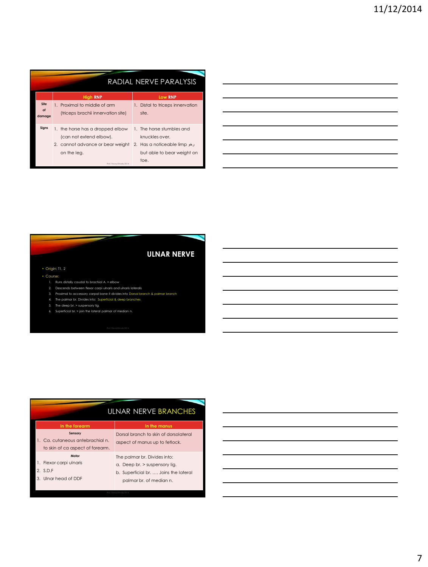|                      | RADIAL NERVE PARALYSIS                                                                                                                    |                                                                                                                   |  |  |  |  |  |  |
|----------------------|-------------------------------------------------------------------------------------------------------------------------------------------|-------------------------------------------------------------------------------------------------------------------|--|--|--|--|--|--|
|                      | <b>High RNP</b>                                                                                                                           | <b>Low RNP</b>                                                                                                    |  |  |  |  |  |  |
| Site<br>of<br>damage | 1. Proximal to middle of arm<br>(triceps brachii innervation site)                                                                        | 1. Distal to triceps innervation<br>site.                                                                         |  |  |  |  |  |  |
| Signs                | 1. the horse has a dropped elbow<br>(can not extend elbow).<br>2. cannot advance or bear weight<br>on the leg.<br>Prof. Fawzy Elnady 2014 | 1. The horse stumbles and<br>knuckles over.<br>2. Has a noticeable limp رخو<br>but able to bear weight on<br>toe. |  |  |  |  |  |  |

|  |  | ULNAR NERVE |  |  |  |  |  |  |  |
|--|--|-------------|--|--|--|--|--|--|--|
|--|--|-------------|--|--|--|--|--|--|--|

### • Origin: T1, 2

### • Course:

- 1. Runs distally caudal to brachial A. > elbow
- 2. Descends between flexor carpi ulnaris and ulnaris lateralis 3. Proximal to accessory carpal bone it divides into Dorsal branch & palmar branch
- 4. The palmar br. Divides into: Superficial & deep branches
- 5. The deep br. > suspensory lig.
- 6. Superficial br. > join the lateral palmar of median n.

#### ULNAR NERVE BRANCHES **In the forearm In the Sensory** 1. Ca. cutaneous antebrachial n. to skin of ca aspect of forearm. Dorsal branch to skin of dorsolateral aspect of manus up to fetlock. **Motor**  1. Flexor carpi ulnaris 2. S.D.F The palmar br. Divides into: a. Deep br. > suspensory lig. b. Superficial br. …. Joins the lateral

- 3. Ulnar head of DDF
- 
- palmar br. of median n.